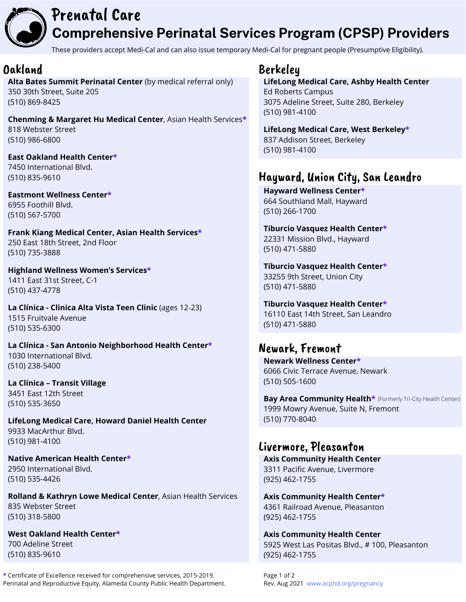

### Prenatal Care **Comprehensive Perinatal Services Program (CPSP) Providers**

These providers accept Medi-Cal and can also issue temporary Medi-Cal for pregnant people (Presumptive Eligibility).

#### Oakland

**Alta Bates Summit Perinatal Center** (by medical referral only) 350 30th Street, Suite 205 (510) 869-8425

**Chenming & Margaret Hu Medical Center**, Asian Health Services**\*** 818 Webster Street (510) 986-6800

**East Oakland Health Center\*** 7450 International Blvd. (510) 835-9610

**Eastmont Wellness Center\*** 6955 Foothill Blvd. (510) 567-5700

**Frank Kiang Medical Center, Asian Health Services\*** 250 East 18th Street, 2nd Floor (510) 735-3888

**Highland Wellness Women's Services\*** 1411 East 31st Street, C-1 (510) 437-4778

**La Clínica - Clinica Alta Vista Teen Clinic** (ages 12-23) 1515 Fruitvale Avenue (510) 535-6300

**La Clínica - San Antonio Neighborhood Health Center\*** 1030 International Blvd. (510) 238-5400

**La Clínica – Transit Village** 3451 East 12th Street (510) 535-3650

**LifeLong Medical Care, Howard Daniel Health Center** 9933 MacArthur Blvd. (510) 981-4100

**Native American Health Center\*** 2950 International Blvd. (510) 535-4426

**Rolland & Kathryn Lowe Medical Center**, Asian Health Services 835 Webster Street (510) 318-5800

**West Oakland Health Center\*** 700 Adeline Street (510) 835-9610

**\*** Certificate of Excellence received for comprehensive services, 2015-2019. Page 1 of 2 Perinatal and Reproductive Equity, Alameda County Public Health Department. Rev. Aug 2021 www.acphd.org/pregnancy

#### Berkeley

**LifeLong Medical Care, Ashby Health Center** Ed Roberts Campus 3075 Adeline Street, Suite 280, Berkeley (510) 981-4100

**LifeLong Medical Care, West Berkeley\*** 837 Addison Street, Berkeley (510) 981-4100

#### Hayward, Union City, San Leandro

**Hayward Wellness Center\*** 664 Southland Mall, Hayward (510) 266-1700

**Tiburcio Vasquez Health Center\*** 22331 Mission Blvd., Hayward (510) 471-5880

**Tiburcio Vasquez Health Center\*** 33255 9th Street, Union City (510) 471-5880

**Tiburcio Vasquez Health Center\*** 16110 East 14th Street, San Leandro (510) 471-5880

### Newark, Fremont

**Newark Wellness Center\*** 6066 Civic Terrace Avenue, Newark (510) 505-1600

**Bay Area Community Health\*** (Formerly Tri-City Health Center)1999 Mowry Avenue, Suite N, Fremont (510) 770-8040

#### Livermore, Pleasanton

**Axis Community Health Center** 3311 Pacific Avenue, Livermore (925) 462-1755

**Axis Community Health Center\*** 4361 Railroad Avenue, Pleasanton (925) 462-1755

**Axis Community Health Center** 5925 West Las Positas Blvd., # 100, Pleasanton (925) 462-1755